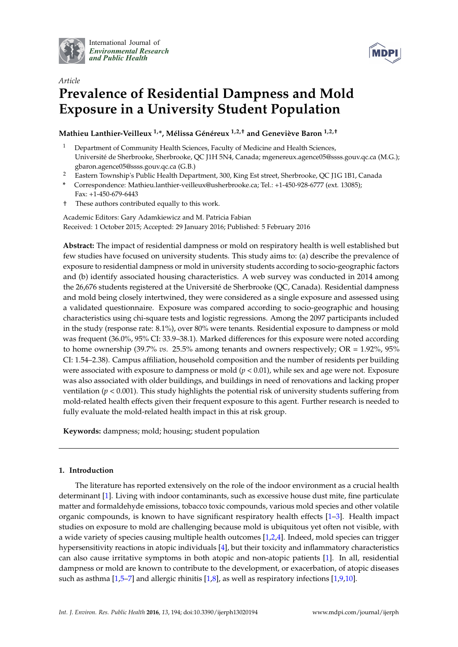

International Journal of *[Environmental Research](http://www.mdpi.com/journal/ijerph) and Public Health*



# *Article* **Prevalence of Residential Dampness and Mold Exposure in a University Student Population**

# **Mathieu Lanthier-Veilleux 1,\*, Mélissa Généreux 1,2,† and Geneviève Baron 1,2,†**

- <sup>1</sup> Department of Community Health Sciences, Faculty of Medicine and Health Sciences, Université de Sherbrooke, Sherbrooke, QC J1H 5N4, Canada; mgenereux.agence05@ssss.gouv.qc.ca (M.G.); gbaron.agence05@ssss.gouv.qc.ca (G.B.)
- <sup>2</sup> Eastern Township's Public Health Department, 300, King Est street, Sherbrooke, QC J1G 1B1, Canada
- **\*** Correspondence: Mathieu.lanthier-veilleux@usherbrooke.ca; Tel.: +1-450-928-6777 (ext. 13085); Fax: +1-450-679-6443
- † These authors contributed equally to this work.

Academic Editors: Gary Adamkiewicz and M. Patricia Fabian Received: 1 October 2015; Accepted: 29 January 2016; Published: 5 February 2016

**Abstract:** The impact of residential dampness or mold on respiratory health is well established but few studies have focused on university students. This study aims to: (a) describe the prevalence of exposure to residential dampness or mold in university students according to socio-geographic factors and (b) identify associated housing characteristics. A web survey was conducted in 2014 among the 26,676 students registered at the Université de Sherbrooke (QC, Canada). Residential dampness and mold being closely intertwined, they were considered as a single exposure and assessed using a validated questionnaire. Exposure was compared according to socio-geographic and housing characteristics using chi-square tests and logistic regressions. Among the 2097 participants included in the study (response rate: 8.1%), over 80% were tenants. Residential exposure to dampness or mold was frequent (36.0%, 95% CI: 33.9–38.1). Marked differences for this exposure were noted according to home ownership (39.7% *vs.* 25.5% among tenants and owners respectively; OR = 1.92%, 95% CI: 1.54–2.38). Campus affiliation, household composition and the number of residents per building were associated with exposure to dampness or mold (*p <* 0.01), while sex and age were not. Exposure was also associated with older buildings, and buildings in need of renovations and lacking proper ventilation (*p* < 0.001). This study highlights the potential risk of university students suffering from mold-related health effects given their frequent exposure to this agent. Further research is needed to fully evaluate the mold-related health impact in this at risk group.

**Keywords:** dampness; mold; housing; student population

## **1. Introduction**

The literature has reported extensively on the role of the indoor environment as a crucial health determinant [\[1\]](#page-12-0). Living with indoor contaminants, such as excessive house dust mite, fine particulate matter and formaldehyde emissions, tobacco toxic compounds, various mold species and other volatile organic compounds, is known to have significant respiratory health effects [\[1–](#page-12-0)[3\]](#page-12-1). Health impact studies on exposure to mold are challenging because mold is ubiquitous yet often not visible, with a wide variety of species causing multiple health outcomes [\[1,](#page-12-0)[2,](#page-12-2)[4\]](#page-12-3). Indeed, mold species can trigger hypersensitivity reactions in atopic individuals [\[4\]](#page-12-3), but their toxicity and inflammatory characteristics can also cause irritative symptoms in both atopic and non-atopic patients [\[1\]](#page-12-0). In all, residential dampness or mold are known to contribute to the development, or exacerbation, of atopic diseases such as asthma  $[1,5-7]$  $[1,5-7]$  $[1,5-7]$  and allergic rhinitis  $[1,8]$  $[1,8]$ , as well as respiratory infections  $[1,9,10]$  $[1,9,10]$  $[1,9,10]$ .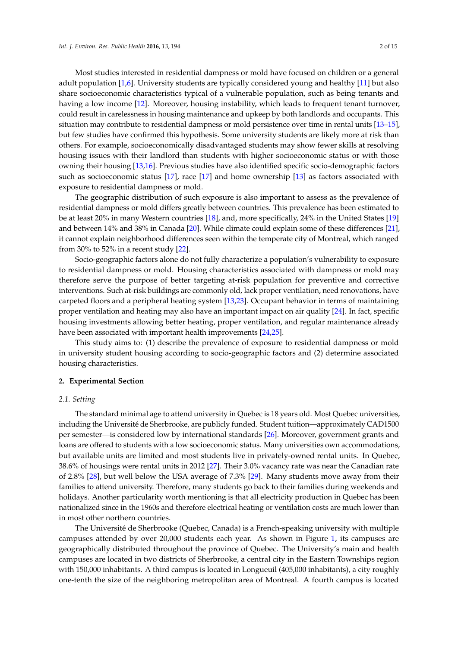Most studies interested in residential dampness or mold have focused on children or a general adult population [\[1,](#page-12-0)[6\]](#page-13-5). University students are typically considered young and healthy [\[11\]](#page-13-6) but also share socioeconomic characteristics typical of a vulnerable population, such as being tenants and having a low income [\[12\]](#page-13-7). Moreover, housing instability, which leads to frequent tenant turnover, could result in carelessness in housing maintenance and upkeep by both landlords and occupants. This situation may contribute to residential dampness or mold persistence over time in rental units [\[13](#page-13-8)[–15\]](#page-13-9), but few studies have confirmed this hypothesis. Some university students are likely more at risk than others. For example, socioeconomically disadvantaged students may show fewer skills at resolving housing issues with their landlord than students with higher socioeconomic status or with those owning their housing [\[13,](#page-13-8)[16\]](#page-13-10). Previous studies have also identified specific socio-demographic factors such as socioeconomic status [\[17\]](#page-13-11), race [\[17\]](#page-13-11) and home ownership [\[13\]](#page-13-8) as factors associated with exposure to residential dampness or mold.

The geographic distribution of such exposure is also important to assess as the prevalence of residential dampness or mold differs greatly between countries. This prevalence has been estimated to be at least 20% in many Western countries [\[18\]](#page-13-12), and, more specifically, 24% in the United States [\[19\]](#page-13-13) and between 14% and 38% in Canada [\[20\]](#page-13-14). While climate could explain some of these differences [\[21\]](#page-13-15), it cannot explain neighborhood differences seen within the temperate city of Montreal, which ranged from 30% to 52% in a recent study [\[22\]](#page-13-16).

Socio-geographic factors alone do not fully characterize a population's vulnerability to exposure to residential dampness or mold. Housing characteristics associated with dampness or mold may therefore serve the purpose of better targeting at-risk population for preventive and corrective interventions. Such at-risk buildings are commonly old, lack proper ventilation, need renovations, have carpeted floors and a peripheral heating system [\[13](#page-13-8)[,23\]](#page-13-17). Occupant behavior in terms of maintaining proper ventilation and heating may also have an important impact on air quality [\[24\]](#page-13-18). In fact, specific housing investments allowing better heating, proper ventilation, and regular maintenance already have been associated with important health improvements [\[24](#page-13-18)[,25\]](#page-13-19).

This study aims to: (1) describe the prevalence of exposure to residential dampness or mold in university student housing according to socio-geographic factors and (2) determine associated housing characteristics.

#### **2. Experimental Section**

#### *2.1. Setting*

The standard minimal age to attend university in Quebec is 18 years old. Most Quebec universities, including the Université de Sherbrooke, are publicly funded. Student tuition—approximately CAD1500 per semester—is considered low by international standards [\[26\]](#page-14-0). Moreover, government grants and loans are offered to students with a low socioeconomic status. Many universities own accommodations, but available units are limited and most students live in privately-owned rental units. In Quebec, 38.6% of housings were rental units in 2012 [\[27\]](#page-14-1). Their 3.0% vacancy rate was near the Canadian rate of 2.8% [\[28\]](#page-14-2), but well below the USA average of 7.3% [\[29\]](#page-14-3). Many students move away from their families to attend university. Therefore, many students go back to their families during weekends and holidays. Another particularity worth mentioning is that all electricity production in Quebec has been nationalized since in the 1960s and therefore electrical heating or ventilation costs are much lower than in most other northern countries.

The Université de Sherbrooke (Quebec, Canada) is a French-speaking university with multiple campuses attended by over 20,000 students each year. As shown in Figure [1,](#page-2-0) its campuses are geographically distributed throughout the province of Quebec. The University's main and health campuses are located in two districts of Sherbrooke, a central city in the Eastern Townships region with 150,000 inhabitants. A third campus is located in Longueuil (405,000 inhabitants), a city roughly one-tenth the size of the neighboring metropolitan area of Montreal. A fourth campus is located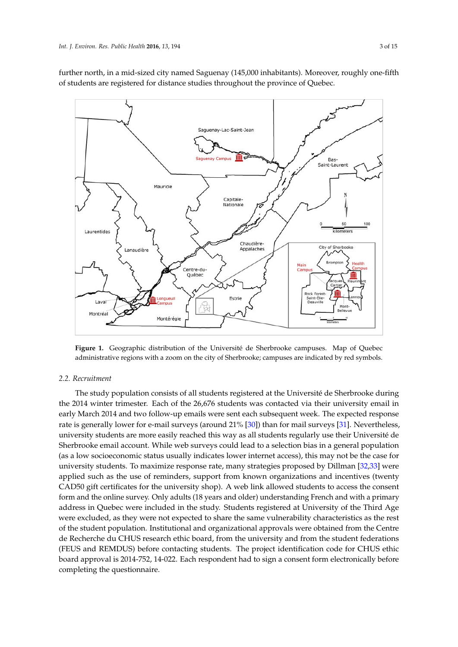further north, in a mid-sized city named Saguenay (145,000 inhabitants). Moreover, roughly one-fifth of students are registered for distance studies throughout the province of Quebec.

<span id="page-2-0"></span>

administrative regions with a zoom on the city of Sherbrooke; campuses are indicated by red symbols. **Figure 1.** Geographic distribution of the Université de Sherbrooke campuses. Map of Quebec

#### *2.2. Recruitment 2.2. Recruitment*

the 2014 winter trimester. Each of the 26,676 students was contacted via their university email in early March 2014 and two follow-up emails were sent each subsequent week. The expected response rate is generally lower for e-mail surveys (around 21% [\[30\]](#page-14-4)) than for mail surveys [\[31\]](#page-14-5). Nevertheless, university students are more easily reached this way as all students regularly use their Université de Sherbrooke email account. While web surveys could lead to a selection bias in a general population (as a low socioeconomic status usually indicates lower internet access), this may not be the case for university students. To maximize response rate, many strategies proposed by Dillman [\[32](#page-14-6)[,33\]](#page-14-7) were applied such as the use of reminders, support from known organizations and incentives (twenty CAD50 gift certificates for the university shop). A web link allowed students to access the consent form and the online survey. Only adults (18 years and older) understanding French and with a primary address in Quebec were included in the study. Students registered at University of the Third Age were excluded, as they were not expected to share the same vulnerability characteristics as the rest of the student population. Institutional and organizational approvals were obtained from the Centre de Recherche du CHUS research ethic board, from the university and from the student federations (FEUS and REMDUS) before contacting students. The project identification code for CHUS ethic board approval is 2014-752, 14-022. Each respondent had to sign a consent form electronically before completing the questionnaire. completing the questionnaire.The study population consists of all students registered at the Université de Sherbrooke during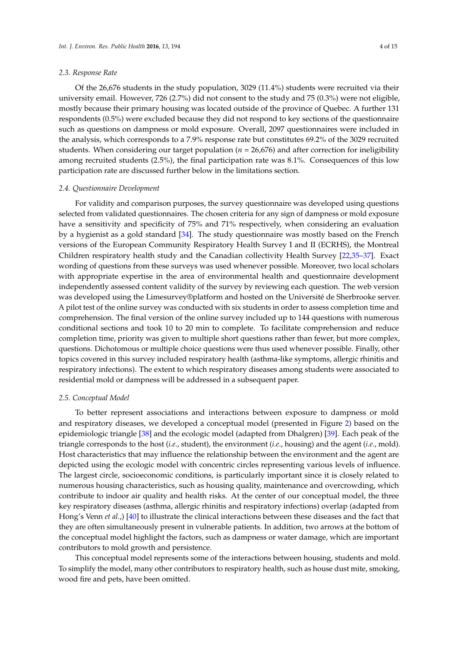#### *2.3. Response Rate*

Of the 26,676 students in the study population, 3029 (11.4%) students were recruited via their university email. However, 726 (2.7%) did not consent to the study and 75 (0.3%) were not eligible, mostly because their primary housing was located outside of the province of Quebec. A further 131 respondents (0.5%) were excluded because they did not respond to key sections of the questionnaire such as questions on dampness or mold exposure. Overall, 2097 questionnaires were included in the analysis, which corresponds to a 7.9% response rate but constitutes 69.2% of the 3029 recruited students. When considering our target population (*n* = 26,676) and after correction for ineligibility among recruited students (2.5%), the final participation rate was 8.1%. Consequences of this low participation rate are discussed further below in the limitations section.

#### *2.4. Questionnaire Development*

For validity and comparison purposes, the survey questionnaire was developed using questions selected from validated questionnaires. The chosen criteria for any sign of dampness or mold exposure have a sensitivity and specificity of 75% and 71% respectively, when considering an evaluation by a hygienist as a gold standard [\[34\]](#page-14-8). The study questionnaire was mostly based on the French versions of the European Community Respiratory Health Survey I and II (ECRHS), the Montreal Children respiratory health study and the Canadian collectivity Health Survey [\[22,](#page-13-16)[35](#page-14-9)[–37\]](#page-14-10). Exact wording of questions from these surveys was used whenever possible. Moreover, two local scholars with appropriate expertise in the area of environmental health and questionnaire development independently assessed content validity of the survey by reviewing each question. The web version was developed using the Limesurvey®platform and hosted on the Université de Sherbrooke server. A pilot test of the online survey was conducted with six students in order to assess completion time and comprehension. The final version of the online survey included up to 144 questions with numerous conditional sections and took 10 to 20 min to complete. To facilitate comprehension and reduce completion time, priority was given to multiple short questions rather than fewer, but more complex, questions. Dichotomous or multiple choice questions were thus used whenever possible. Finally, other topics covered in this survey included respiratory health (asthma-like symptoms, allergic rhinitis and respiratory infections). The extent to which respiratory diseases among students were associated to residential mold or dampness will be addressed in a subsequent paper.

#### *2.5. Conceptual Model*

To better represent associations and interactions between exposure to dampness or mold and respiratory diseases, we developed a conceptual model (presented in Figure [2\)](#page-4-0) based on the epidemiologic triangle [\[38\]](#page-14-11) and the ecologic model (adapted from Dhalgren) [\[39\]](#page-14-12). Each peak of the triangle corresponds to the host (*i.e*., student), the environment (*i.e*., housing) and the agent (*i.e*., mold). Host characteristics that may influence the relationship between the environment and the agent are depicted using the ecologic model with concentric circles representing various levels of influence. The largest circle, socioeconomic conditions, is particularly important since it is closely related to numerous housing characteristics, such as housing quality, maintenance and overcrowding, which contribute to indoor air quality and health risks. At the center of our conceptual model, the three key respiratory diseases (asthma, allergic rhinitis and respiratory infections) overlap (adapted from Hong's Venn *et al.*,) [\[40\]](#page-14-13) to illustrate the clinical interactions between these diseases and the fact that they are often simultaneously present in vulnerable patients. In addition, two arrows at the bottom of the conceptual model highlight the factors, such as dampness or water damage, which are important contributors to mold growth and persistence.

This conceptual model represents some of the interactions between housing, students and mold. To simplify the model, many other contributors to respiratory health, such as house dust mite, smoking, wood fire and pets, have been omitted.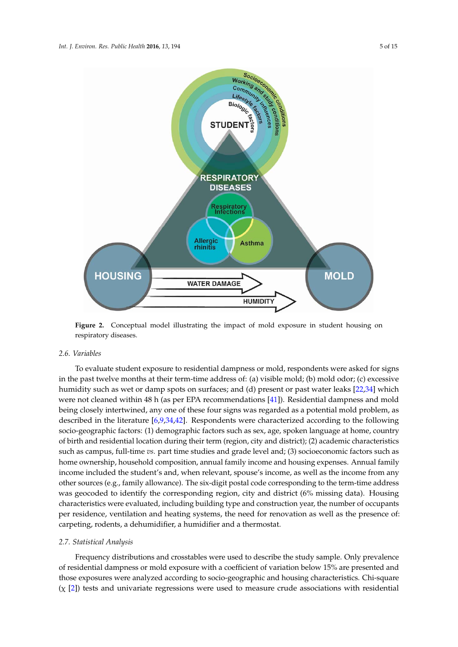<span id="page-4-0"></span>

**Figure 2.** Conceptual model illustrating the impact of mold exposure in student housing on **Figure 2.** Conceptual model illustrating the impact of mold exposure in student housing on respiratory diseases.

#### *2.6. Variables*

5 carpeting, rodents, a dehumidifier, a humidifier and a thermostat. To evaluate student exposure to residential dampness or mold, respondents were asked for signs in the past twelve months at their term-time address of: (a) visible mold; (b) mold odor; (c) excessive humidity such as wet or damp spots on surfaces; and (d) present or past water leaks [\[22](#page-13-16)[,34\]](#page-14-8) which being closely intertwined as a potential model was regarded as  $\frac{1}{2}$  mold problem. were not cleaned within 48 h (as per EPA recommendations  $[41]$ ). Residential dampness and mold being closely intertwined, any one of these four signs was regarded as a potential mold problem, as described in the literature [\[6](#page-13-5)[,9](#page-13-3)[,34](#page-14-8)[,42\]](#page-14-15). Respondents were characterized according to the following socio-geographic factors: (1) demographic factors such as sex, age, spoken language at home, country of birth and residential location during their term (region, city and district); (2) academic characteristics  $\epsilon$ income included the student's and, when relevant, spouse is followed the income, as well as well as  $\epsilon$ such as campus, full-time *vs*. part time studies and grade level and; (3) socioeconomic factors such as home ownership, household composition, annual family income and housing expenses. Annual family income included the student's and, when relevant, spouse's income, as well as the income from any other sources (e.g., family allowance). The six-digit postal code corresponding to the term-time address was geocoded to identify the corresponding region, city and district (6% missing data). Housing characteristics were evaluated, including building type and construction year, the number of occupants per residence, ventilation and heating systems, the need for renovation as well as the presence of:

#### *2.7. Statistical Analysis*

Frequency distributions and crosstables were used to describe the study sample. Only prevalence of residential dampness or mold exposure with a coefficient of variation below 15% are presented and those exposures were analyzed according to socio-geographic and housing characteristics. Chi-square  $(\chi$  [\[2\]](#page-12-2)) tests and univariate regressions were used to measure crude associations with residential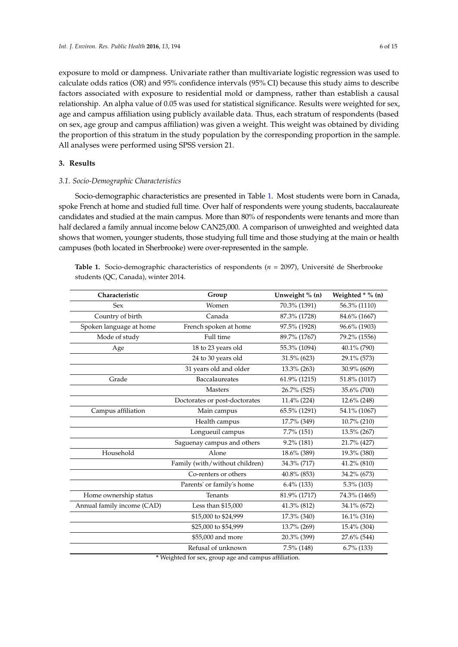exposure to mold or dampness. Univariate rather than multivariate logistic regression was used to calculate odds ratios (OR) and 95% confidence intervals (95% CI) because this study aims to describe factors associated with exposure to residential mold or dampness, rather than establish a causal relationship. An alpha value of 0.05 was used for statistical significance. Results were weighted for sex, age and campus affiliation using publicly available data. Thus, each stratum of respondents (based on sex, age group and campus affiliation) was given a weight. This weight was obtained by dividing the proportion of this stratum in the study population by the corresponding proportion in the sample. All analyses were performed using SPSS version 21.

### **3. Results**

#### *3.1. Socio-Demographic Characteristics*

Socio-demographic characteristics are presented in Table [1.](#page-5-0) Most students were born in Canada, spoke French at home and studied full time. Over half of respondents were young students, baccalaureate candidates and studied at the main campus. More than 80% of respondents were tenants and more than half declared a family annual income below CAN25,000. A comparison of unweighted and weighted data shows that women, younger students, those studying full time and those studying at the main or health campuses (both located in Sherbrooke) were over-represented in the sample.

<span id="page-5-0"></span>**Table 1.** Socio-demographic characteristics of respondents (*n* = 2097), Université de Sherbrooke students (QC, Canada), winter 2014.

| Characteristic             | Group                          | Unweight % (n) | Weighted $*$ % (n) |
|----------------------------|--------------------------------|----------------|--------------------|
| Sex                        | Women                          | 70.3% (1391)   | 56.3% (1110)       |
| Country of birth           | Canada                         | 87.3% (1728)   | 84.6% (1667)       |
| Spoken language at home    | French spoken at home          | 97.5% (1928)   | 96.6% (1903)       |
| Mode of study              | Full time                      | 89.7% (1767)   | 79.2% (1556)       |
| Age                        | 18 to 23 years old             | 55.3% (1094)   | 40.1% (790)        |
|                            | 24 to 30 years old             | 31.5% (623)    | 29.1% (573)        |
|                            | 31 years old and older         | 13.3% (263)    | 30.9% (609)        |
| Grade                      | Baccalaureates                 | 61.9% (1215)   | 51.8% (1017)       |
|                            | <b>Masters</b>                 | 26.7% (525)    | 35.6% (700)        |
|                            | Doctorates or post-doctorates  | 11.4% (224)    | 12.6% (248)        |
| Campus affiliation         | Main campus                    | 65.5% (1291)   | 54.1% (1067)       |
|                            | Health campus                  | 17.7% (349)    | 10.7% (210)        |
|                            | Longueuil campus               | $7.7\%$ (151)  | 13.5% (267)        |
|                            | Saguenay campus and others     | 9.2% (181)     | 21.7% (427)        |
| Household                  | Alone                          | 18.6% (389)    | 19.3% (380)        |
|                            | Family (with/without children) | 34.3% (717)    | 41.2% (810)        |
|                            | Co-renters or others           | 40.8% (853)    | 34.2% (673)        |
|                            | Parents' or family's home      | $6.4\%$ (133)  | 5.3% (103)         |
| Home ownership status      | Tenants                        | 81.9% (1717)   | 74.3% (1465)       |
| Annual family income (CAD) | Less than \$15,000             | 41.3% (812)    | 34.1% (672)        |
|                            | \$15,000 to \$24,999           | 17.3% (340)    | 16.1% (316)        |
|                            | \$25,000 to \$54,999           | 13.7% (269)    | 15.4% (304)        |
|                            | \$55,000 and more              | 20.3% (399)    | 27.6% (544)        |
|                            | Refusal of unknown             | 7.5% (148)     | $6.7\%$ (133)      |

**\*** Weighted for sex, group age and campus affiliation.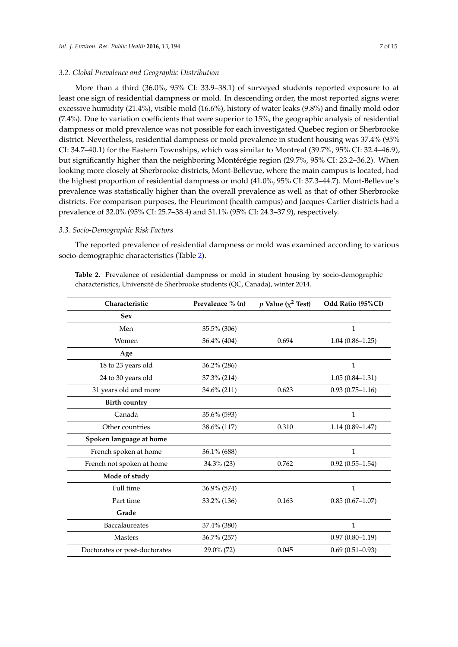#### *3.2. Global Prevalence and Geographic Distribution*

More than a third (36.0%, 95% CI: 33.9–38.1) of surveyed students reported exposure to at least one sign of residential dampness or mold. In descending order, the most reported signs were: excessive humidity (21.4%), visible mold (16.6%), history of water leaks (9.8%) and finally mold odor (7.4%). Due to variation coefficients that were superior to 15%, the geographic analysis of residential dampness or mold prevalence was not possible for each investigated Quebec region or Sherbrooke district. Nevertheless, residential dampness or mold prevalence in student housing was 37.4% (95% CI: 34.7–40.1) for the Eastern Townships, which was similar to Montreal (39.7%, 95% CI: 32.4–46.9), but significantly higher than the neighboring Montérégie region (29.7%, 95% CI: 23.2–36.2). When looking more closely at Sherbrooke districts, Mont-Bellevue, where the main campus is located, had the highest proportion of residential dampness or mold (41.0%, 95% CI: 37.3–44.7). Mont-Bellevue's prevalence was statistically higher than the overall prevalence as well as that of other Sherbrooke districts. For comparison purposes, the Fleurimont (health campus) and Jacques-Cartier districts had a prevalence of 32.0% (95% CI: 25.7–38.4) and 31.1% (95% CI: 24.3–37.9), respectively.

#### *3.3. Socio-Demographic Risk Factors*

The reported prevalence of residential dampness or mold was examined according to various socio-demographic characteristics (Table [2\)](#page-7-0).

|  | Table 2. Prevalence of residential dampness or mold in student housing by socio-demographic |  |  |  |  |
|--|---------------------------------------------------------------------------------------------|--|--|--|--|
|  | characteristics, Université de Sherbrooke students (OC, Canada), winter 2014.               |  |  |  |  |

| Characteristic                | Prevalence % (n) | p Value ( $\chi^2$ Test) | Odd Ratio (95%CI)   |
|-------------------------------|------------------|--------------------------|---------------------|
| <b>Sex</b>                    |                  |                          |                     |
| Men                           | 35.5% (306)      |                          | $\mathbf{1}$        |
| Women                         | 36.4% (404)      | 0.694                    | $1.04(0.86 - 1.25)$ |
| Age                           |                  |                          |                     |
| 18 to 23 years old            | 36.2% (286)      |                          | 1                   |
| 24 to 30 years old            | 37.3% (214)      |                          | $1.05(0.84 - 1.31)$ |
| 31 years old and more         | 34.6% (211)      | 0.623                    | $0.93(0.75 - 1.16)$ |
| <b>Birth country</b>          |                  |                          |                     |
| Canada                        | 35.6% (593)      |                          | $\mathbf{1}$        |
| Other countries               | 38.6% (117)      | 0.310                    | $1.14(0.89 - 1.47)$ |
| Spoken language at home       |                  |                          |                     |
| French spoken at home         | 36.1% (688)      |                          | 1                   |
| French not spoken at home     | $34.3\%$ (23)    | 0.762                    | $0.92(0.55 - 1.54)$ |
| Mode of study                 |                  |                          |                     |
| Full time                     | 36.9% (574)      |                          | 1                   |
| Part time                     | 33.2% (136)      | 0.163                    | $0.85(0.67-1.07)$   |
| Grade                         |                  |                          |                     |
| Baccalaureates                | 37.4% (380)      |                          | $\mathbf{1}$        |
| <b>Masters</b>                | 36.7% (257)      |                          | $0.97(0.80 - 1.19)$ |
| Doctorates or post-doctorates | 29.0% (72)       | 0.045                    | $0.69(0.51 - 0.93)$ |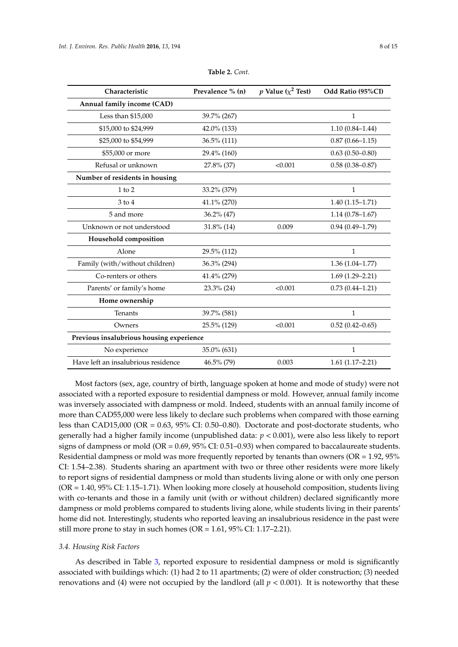<span id="page-7-0"></span>

| Prevalence % (n)                         | p Value ( $\chi^2$ Test) | Odd Ratio (95%CI)   |  |  |  |  |
|------------------------------------------|--------------------------|---------------------|--|--|--|--|
|                                          |                          |                     |  |  |  |  |
| 39.7% (267)                              |                          | $\mathbf{1}$        |  |  |  |  |
| 42.0% (133)                              |                          | $1.10(0.84 - 1.44)$ |  |  |  |  |
| 36.5% (111)                              |                          | $0.87(0.66 - 1.15)$ |  |  |  |  |
| 29.4% (160)                              |                          | $0.63(0.50-0.80)$   |  |  |  |  |
| 27.8% (37)                               | < 0.001                  | $0.58(0.38 - 0.87)$ |  |  |  |  |
|                                          |                          |                     |  |  |  |  |
| 33.2% (379)                              |                          | $\mathbf{1}$        |  |  |  |  |
| 41.1% (270)                              |                          | $1.40(1.15-1.71)$   |  |  |  |  |
| $36.2\%$ (47)                            |                          | $1.14(0.78 - 1.67)$ |  |  |  |  |
| $31.8\%$ (14)                            | 0.009                    | $0.94(0.49 - 1.79)$ |  |  |  |  |
|                                          |                          |                     |  |  |  |  |
| 29.5% (112)                              |                          | $\mathbf{1}$        |  |  |  |  |
| 36.3% (294)                              |                          | $1.36(1.04 - 1.77)$ |  |  |  |  |
| 41.4% (279)                              |                          | $1.69(1.29 - 2.21)$ |  |  |  |  |
| 23.3% (24)                               | < 0.001                  | $0.73(0.44 - 1.21)$ |  |  |  |  |
|                                          |                          |                     |  |  |  |  |
| 39.7% (581)                              |                          | $\mathbf{1}$        |  |  |  |  |
| 25.5% (129)                              | < 0.001                  | $0.52(0.42 - 0.65)$ |  |  |  |  |
| Previous insalubrious housing experience |                          |                     |  |  |  |  |
| 35.0% (631)                              |                          | $\mathbf{1}$        |  |  |  |  |
| 46.5% (79)                               | 0.003                    | $1.61(1.17-2.21)$   |  |  |  |  |
|                                          |                          |                     |  |  |  |  |

**Table 2.** *Cont.*

Most factors (sex, age, country of birth, language spoken at home and mode of study) were not associated with a reported exposure to residential dampness or mold. However, annual family income was inversely associated with dampness or mold. Indeed, students with an annual family income of more than CAD55,000 were less likely to declare such problems when compared with those earning less than CAD15,000 (OR = 0.63, 95% CI: 0.50–0.80). Doctorate and post-doctorate students, who generally had a higher family income (unpublished data: *p* < 0.001), were also less likely to report signs of dampness or mold (OR = 0.69, 95% CI: 0.51–0.93) when compared to baccalaureate students. Residential dampness or mold was more frequently reported by tenants than owners (OR = 1.92, 95% CI: 1.54–2.38). Students sharing an apartment with two or three other residents were more likely to report signs of residential dampness or mold than students living alone or with only one person (OR = 1.40, 95% CI: 1.15–1.71). When looking more closely at household composition, students living with co-tenants and those in a family unit (with or without children) declared significantly more dampness or mold problems compared to students living alone, while students living in their parents' home did not. Interestingly, students who reported leaving an insalubrious residence in the past were still more prone to stay in such homes (OR = 1.61, 95% CI: 1.17–2.21).

#### *3.4. Housing Risk Factors*

As described in Table [3,](#page-9-0) reported exposure to residential dampness or mold is significantly associated with buildings which: (1) had 2 to 11 apartments; (2) were of older construction; (3) needed renovations and (4) were not occupied by the landlord (all  $p < 0.001$ ). It is noteworthy that these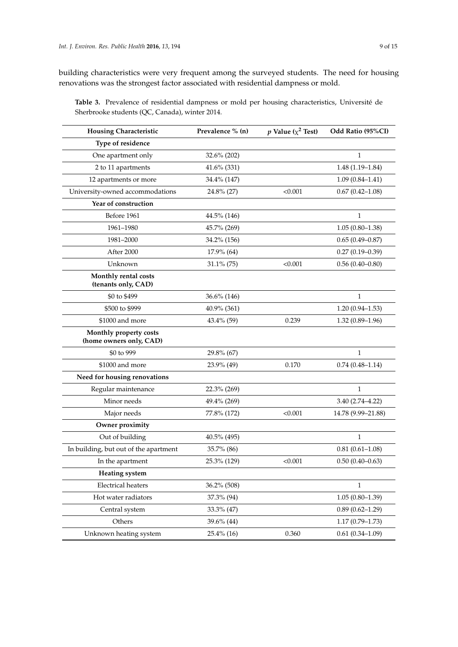building characteristics were very frequent among the surveyed students. The need for housing renovations was the strongest factor associated with residential dampness or mold.

**Table 3.** Prevalence of residential dampness or mold per housing characteristics, Université de Sherbrooke students (QC, Canada), winter 2014.

| <b>Housing Characteristic</b>                     | Prevalence % (n) | p Value ( $\chi^2$ Test) | Odd Ratio (95%CI)   |
|---------------------------------------------------|------------------|--------------------------|---------------------|
| Type of residence                                 |                  |                          |                     |
| One apartment only                                | 32.6% (202)      |                          | $\mathbf{1}$        |
| 2 to 11 apartments                                | 41.6% (331)      |                          | $1.48(1.19-1.84)$   |
| 12 apartments or more                             | 34.4% (147)      |                          | $1.09(0.84 - 1.41)$ |
| University-owned accommodations                   | 24.8% (27)       | < 0.001                  | $0.67(0.42 - 1.08)$ |
| Year of construction                              |                  |                          |                     |
| Before 1961                                       | 44.5% (146)      |                          | $\mathbf{1}$        |
| 1961-1980                                         | 45.7% (269)      |                          | $1.05(0.80-1.38)$   |
| 1981-2000                                         | 34.2% (156)      |                          | $0.65(0.49 - 0.87)$ |
| After 2000                                        | 17.9% (64)       |                          | $0.27(0.19 - 0.39)$ |
| Unknown                                           | $31.1\%$ (75)    | < 0.001                  | $0.56(0.40-0.80)$   |
| Monthly rental costs<br>(tenants only, CAD)       |                  |                          |                     |
| \$0 to \$499                                      | 36.6% (146)      |                          | 1                   |
| \$500 to \$999                                    | $40.9\%$ (361)   |                          | $1.20(0.94 - 1.53)$ |
| \$1000 and more                                   | 43.4% (59)       | 0.239                    | $1.32(0.89 - 1.96)$ |
| Monthly property costs<br>(home owners only, CAD) |                  |                          |                     |
| \$0 to 999                                        | 29.8% (67)       |                          | $\mathbf{1}$        |
| \$1000 and more                                   | 23.9% (49)       | 0.170                    | $0.74(0.48 - 1.14)$ |
| Need for housing renovations                      |                  |                          |                     |
| Regular maintenance                               | 22.3% (269)      |                          | $\mathbf{1}$        |
| Minor needs                                       | 49.4% (269)      |                          | $3.40(2.74 - 4.22)$ |
| Major needs                                       | 77.8% (172)      | < 0.001                  | 14.78 (9.99-21.88)  |
| Owner proximity                                   |                  |                          |                     |
| Out of building                                   | 40.5% (495)      |                          | $\mathbf{1}$        |
| In building, but out of the apartment             | 35.7% (86)       |                          | $0.81(0.61 - 1.08)$ |
| In the apartment                                  | 25.3% (129)      | < 0.001                  | $0.50(0.40-0.63)$   |
| <b>Heating system</b>                             |                  |                          |                     |
| <b>Electrical heaters</b>                         | 36.2% (508)      |                          | 1                   |
| Hot water radiators                               | 37.3% (94)       |                          | $1.05(0.80-1.39)$   |
| Central system                                    | 33.3% (47)       |                          | $0.89(0.62 - 1.29)$ |
| Others                                            | 39.6% (44)       |                          | $1.17(0.79 - 1.73)$ |
| Unknown heating system                            | 25.4% (16)       | 0.360                    | $0.61(0.34 - 1.09)$ |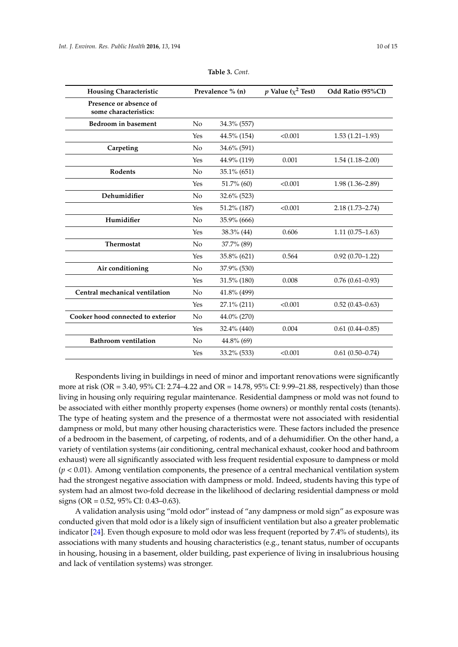<span id="page-9-0"></span>

| <b>Housing Characteristic</b>                   | Prevalence % (n) |                | p Value ( $\chi^2$ Test) | Odd Ratio (95%CI)   |
|-------------------------------------------------|------------------|----------------|--------------------------|---------------------|
| Presence or absence of<br>some characteristics: |                  |                |                          |                     |
| Bedroom in basement                             | No               | 34.3% (557)    |                          |                     |
|                                                 | Yes              | 44.5% (154)    | < 0.001                  | $1.53(1.21-1.93)$   |
| Carpeting                                       | No               | 34.6% (591)    |                          |                     |
|                                                 | Yes              | 44.9% (119)    | 0.001                    | $1.54(1.18-2.00)$   |
| Rodents                                         | No               | 35.1% (651)    |                          |                     |
|                                                 | Yes              | $51.7\%$ (60)  | < 0.001                  | $1.98(1.36 - 2.89)$ |
| Dehumidifier                                    | N <sub>0</sub>   | $32.6\%$ (523) |                          |                     |
|                                                 | Yes              | 51.2% (187)    | < 0.001                  | $2.18(1.73 - 2.74)$ |
| Humidifier                                      | No               | 35.9% (666)    |                          |                     |
|                                                 | Yes              | 38.3% (44)     | 0.606                    | $1.11(0.75-1.63)$   |
| Thermostat                                      | No               | 37.7% (89)     |                          |                     |
|                                                 | Yes              | 35.8% (621)    | 0.564                    | $0.92(0.70-1.22)$   |
| Air conditioning                                | N <sub>0</sub>   | 37.9% (530)    |                          |                     |
|                                                 | Yes              | 31.5% (180)    | 0.008                    | $0.76(0.61 - 0.93)$ |
| Central mechanical ventilation                  | No               | 41.8% (499)    |                          |                     |
|                                                 | Yes              | 27.1% (211)    | < 0.001                  | $0.52(0.43 - 0.63)$ |
| Cooker hood connected to exterior               | No               | 44.0% (270)    |                          |                     |
|                                                 | Yes              | 32.4% (440)    | 0.004                    | $0.61(0.44 - 0.85)$ |
| <b>Bathroom</b> ventilation                     | No               | 44.8% (69)     |                          |                     |
|                                                 | Yes              | 33.2% (533)    | < 0.001                  | $0.61(0.50-0.74)$   |

**Table 3.** *Cont.*

Respondents living in buildings in need of minor and important renovations were significantly more at risk (OR = 3.40, 95% CI: 2.74–4.22 and OR = 14.78, 95% CI: 9.99–21.88, respectively) than those living in housing only requiring regular maintenance. Residential dampness or mold was not found to be associated with either monthly property expenses (home owners) or monthly rental costs (tenants). The type of heating system and the presence of a thermostat were not associated with residential dampness or mold, but many other housing characteristics were. These factors included the presence of a bedroom in the basement, of carpeting, of rodents, and of a dehumidifier. On the other hand, a variety of ventilation systems (air conditioning, central mechanical exhaust, cooker hood and bathroom exhaust) were all significantly associated with less frequent residential exposure to dampness or mold (*p <* 0.01). Among ventilation components, the presence of a central mechanical ventilation system had the strongest negative association with dampness or mold. Indeed, students having this type of system had an almost two-fold decrease in the likelihood of declaring residential dampness or mold signs (OR = 0.52, 95% CI: 0.43–0.63).

A validation analysis using "mold odor" instead of "any dampness or mold sign" as exposure was conducted given that mold odor is a likely sign of insufficient ventilation but also a greater problematic indicator [\[24\]](#page-13-18). Even though exposure to mold odor was less frequent (reported by 7.4% of students), its associations with many students and housing characteristics (e.g., tenant status, number of occupants in housing, housing in a basement, older building, past experience of living in insalubrious housing and lack of ventilation systems) was stronger.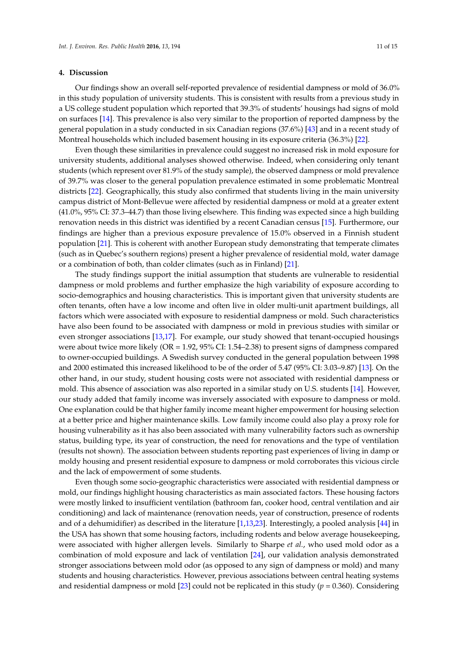#### **4. Discussion**

Our findings show an overall self-reported prevalence of residential dampness or mold of 36.0% in this study population of university students. This is consistent with results from a previous study in a US college student population which reported that 39.3% of students' housings had signs of mold on surfaces [\[14\]](#page-13-20). This prevalence is also very similar to the proportion of reported dampness by the general population in a study conducted in six Canadian regions (37.6%) [\[43\]](#page-14-16) and in a recent study of Montreal households which included basement housing in its exposure criteria (36.3%) [\[22\]](#page-13-16).

Even though these similarities in prevalence could suggest no increased risk in mold exposure for university students, additional analyses showed otherwise. Indeed, when considering only tenant students (which represent over 81.9% of the study sample), the observed dampness or mold prevalence of 39.7% was closer to the general population prevalence estimated in some problematic Montreal districts [\[22\]](#page-13-16). Geographically, this study also confirmed that students living in the main university campus district of Mont-Bellevue were affected by residential dampness or mold at a greater extent (41.0%, 95% CI: 37.3–44.7) than those living elsewhere. This finding was expected since a high building renovation needs in this district was identified by a recent Canadian census [\[15\]](#page-13-9). Furthermore, our findings are higher than a previous exposure prevalence of 15.0% observed in a Finnish student population [\[21\]](#page-13-15). This is coherent with another European study demonstrating that temperate climates (such as in Quebec's southern regions) present a higher prevalence of residential mold, water damage or a combination of both, than colder climates (such as in Finland) [\[21\]](#page-13-15).

The study findings support the initial assumption that students are vulnerable to residential dampness or mold problems and further emphasize the high variability of exposure according to socio-demographics and housing characteristics. This is important given that university students are often tenants, often have a low income and often live in older multi-unit apartment buildings, all factors which were associated with exposure to residential dampness or mold. Such characteristics have also been found to be associated with dampness or mold in previous studies with similar or even stronger associations [\[13](#page-13-8)[,17\]](#page-13-11). For example, our study showed that tenant-occupied housings were about twice more likely (OR = 1.92, 95% CI: 1.54–2.38) to present signs of dampness compared to owner-occupied buildings. A Swedish survey conducted in the general population between 1998 and 2000 estimated this increased likelihood to be of the order of 5.47 (95% CI: 3.03–9.87) [\[13\]](#page-13-8). On the other hand, in our study, student housing costs were not associated with residential dampness or mold. This absence of association was also reported in a similar study on U.S. students [\[14\]](#page-13-20). However, our study added that family income was inversely associated with exposure to dampness or mold. One explanation could be that higher family income meant higher empowerment for housing selection at a better price and higher maintenance skills. Low family income could also play a proxy role for housing vulnerability as it has also been associated with many vulnerability factors such as ownership status, building type, its year of construction, the need for renovations and the type of ventilation (results not shown). The association between students reporting past experiences of living in damp or moldy housing and present residential exposure to dampness or mold corroborates this vicious circle and the lack of empowerment of some students.

Even though some socio-geographic characteristics were associated with residential dampness or mold, our findings highlight housing characteristics as main associated factors. These housing factors were mostly linked to insufficient ventilation (bathroom fan, cooker hood, central ventilation and air conditioning) and lack of maintenance (renovation needs, year of construction, presence of rodents and of a dehumidifier) as described in the literature [\[1](#page-12-0)[,13](#page-13-8)[,23\]](#page-13-17). Interestingly, a pooled analysis [\[44\]](#page-14-17) in the USA has shown that some housing factors, including rodents and below average housekeeping, were associated with higher allergen levels. Similarly to Sharpe *et al.*, who used mold odor as a combination of mold exposure and lack of ventilation [\[24\]](#page-13-18), our validation analysis demonstrated stronger associations between mold odor (as opposed to any sign of dampness or mold) and many students and housing characteristics. However, previous associations between central heating systems and residential dampness or mold  $[23]$  could not be replicated in this study ( $p = 0.360$ ). Considering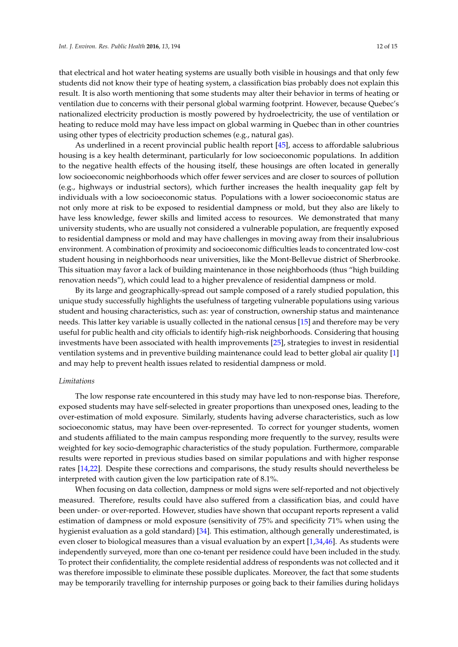that electrical and hot water heating systems are usually both visible in housings and that only few students did not know their type of heating system, a classification bias probably does not explain this result. It is also worth mentioning that some students may alter their behavior in terms of heating or ventilation due to concerns with their personal global warming footprint. However, because Quebec's nationalized electricity production is mostly powered by hydroelectricity, the use of ventilation or heating to reduce mold may have less impact on global warming in Quebec than in other countries using other types of electricity production schemes (e.g., natural gas).

As underlined in a recent provincial public health report [\[45\]](#page-14-18), access to affordable salubrious housing is a key health determinant, particularly for low socioeconomic populations. In addition to the negative health effects of the housing itself, these housings are often located in generally low socioeconomic neighborhoods which offer fewer services and are closer to sources of pollution (e.g., highways or industrial sectors), which further increases the health inequality gap felt by individuals with a low socioeconomic status. Populations with a lower socioeconomic status are not only more at risk to be exposed to residential dampness or mold, but they also are likely to have less knowledge, fewer skills and limited access to resources. We demonstrated that many university students, who are usually not considered a vulnerable population, are frequently exposed to residential dampness or mold and may have challenges in moving away from their insalubrious environment. A combination of proximity and socioeconomic difficulties leads to concentrated low-cost student housing in neighborhoods near universities, like the Mont-Bellevue district of Sherbrooke. This situation may favor a lack of building maintenance in those neighborhoods (thus "high building renovation needs"), which could lead to a higher prevalence of residential dampness or mold.

By its large and geographically-spread out sample composed of a rarely studied population, this unique study successfully highlights the usefulness of targeting vulnerable populations using various student and housing characteristics, such as: year of construction, ownership status and maintenance needs. This latter key variable is usually collected in the national census [\[15\]](#page-13-9) and therefore may be very useful for public health and city officials to identify high-risk neighborhoods. Considering that housing investments have been associated with health improvements [\[25\]](#page-13-19), strategies to invest in residential ventilation systems and in preventive building maintenance could lead to better global air quality [\[1\]](#page-12-0) and may help to prevent health issues related to residential dampness or mold.

#### *Limitations*

The low response rate encountered in this study may have led to non-response bias. Therefore, exposed students may have self-selected in greater proportions than unexposed ones, leading to the over-estimation of mold exposure. Similarly, students having adverse characteristics, such as low socioeconomic status, may have been over-represented. To correct for younger students, women and students affiliated to the main campus responding more frequently to the survey, results were weighted for key socio-demographic characteristics of the study population. Furthermore, comparable results were reported in previous studies based on similar populations and with higher response rates [\[14](#page-13-20)[,22\]](#page-13-16). Despite these corrections and comparisons, the study results should nevertheless be interpreted with caution given the low participation rate of 8.1%.

When focusing on data collection, dampness or mold signs were self-reported and not objectively measured. Therefore, results could have also suffered from a classification bias, and could have been under- or over-reported. However, studies have shown that occupant reports represent a valid estimation of dampness or mold exposure (sensitivity of 75% and specificity 71% when using the hygienist evaluation as a gold standard) [\[34\]](#page-14-8). This estimation, although generally underestimated, is even closer to biological measures than a visual evaluation by an expert [\[1](#page-12-0)[,34](#page-14-8)[,46\]](#page-14-19). As students were independently surveyed, more than one co-tenant per residence could have been included in the study. To protect their confidentiality, the complete residential address of respondents was not collected and it was therefore impossible to eliminate these possible duplicates. Moreover, the fact that some students may be temporarily travelling for internship purposes or going back to their families during holidays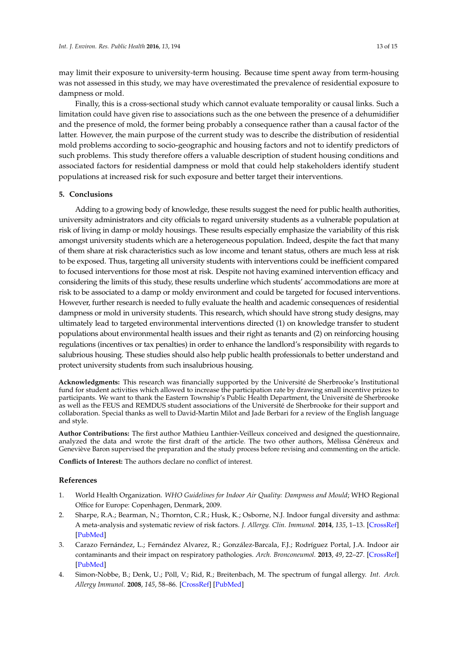may limit their exposure to university-term housing. Because time spent away from term-housing was not assessed in this study, we may have overestimated the prevalence of residential exposure to dampness or mold.

Finally, this is a cross-sectional study which cannot evaluate temporality or causal links. Such a limitation could have given rise to associations such as the one between the presence of a dehumidifier and the presence of mold, the former being probably a consequence rather than a causal factor of the latter. However, the main purpose of the current study was to describe the distribution of residential mold problems according to socio-geographic and housing factors and not to identify predictors of such problems. This study therefore offers a valuable description of student housing conditions and associated factors for residential dampness or mold that could help stakeholders identify student populations at increased risk for such exposure and better target their interventions.

#### **5. Conclusions**

Adding to a growing body of knowledge, these results suggest the need for public health authorities, university administrators and city officials to regard university students as a vulnerable population at risk of living in damp or moldy housings. These results especially emphasize the variability of this risk amongst university students which are a heterogeneous population. Indeed, despite the fact that many of them share at risk characteristics such as low income and tenant status, others are much less at risk to be exposed. Thus, targeting all university students with interventions could be inefficient compared to focused interventions for those most at risk. Despite not having examined intervention efficacy and considering the limits of this study, these results underline which students' accommodations are more at risk to be associated to a damp or moldy environment and could be targeted for focused interventions. However, further research is needed to fully evaluate the health and academic consequences of residential dampness or mold in university students. This research, which should have strong study designs, may ultimately lead to targeted environmental interventions directed (1) on knowledge transfer to student populations about environmental health issues and their right as tenants and (2) on reinforcing housing regulations (incentives or tax penalties) in order to enhance the landlord's responsibility with regards to salubrious housing. These studies should also help public health professionals to better understand and protect university students from such insalubrious housing.

**Acknowledgments:** This research was financially supported by the Université de Sherbrooke's Institutional fund for student activities which allowed to increase the participation rate by drawing small incentive prizes to participants. We want to thank the Eastern Township's Public Health Department, the Université de Sherbrooke as well as the FEUS and REMDUS student associations of the Université de Sherbrooke for their support and collaboration. Special thanks as well to David-Martin Milot and Jade Berbari for a review of the English language and style.

**Author Contributions:** The first author Mathieu Lanthier-Veilleux conceived and designed the questionnaire, analyzed the data and wrote the first draft of the article. The two other authors, Mélissa Généreux and Geneviève Baron supervised the preparation and the study process before revising and commenting on the article.

**Conflicts of Interest:** The authors declare no conflict of interest.

#### **References**

- <span id="page-12-0"></span>1. World Health Organization. *WHO Guidelines for Indoor Air Quality: Dampness and Mould*; WHO Regional Office for Europe: Copenhagen, Denmark, 2009.
- <span id="page-12-2"></span>2. Sharpe, R.A.; Bearman, N.; Thornton, C.R.; Husk, K.; Osborne, N.J. Indoor fungal diversity and asthma: A meta-analysis and systematic review of risk factors. *J. Allergy. Clin. Immunol.* **2014**, *135*, 1–13. [\[CrossRef\]](http://dx.doi.org/10.1016/j.jaci.2014.07.002) [\[PubMed\]](http://www.ncbi.nlm.nih.gov/pubmed/25159468)
- <span id="page-12-1"></span>3. Carazo Fernández, L.; Fernández Alvarez, R.; González-Barcala, F.J.; Rodríguez Portal, J.A. Indoor air contaminants and their impact on respiratory pathologies. *Arch. Bronconeumol.* **2013**, *49*, 22–27. [\[CrossRef\]](http://dx.doi.org/10.1016/j.arbres.2012.04.005) [\[PubMed\]](http://www.ncbi.nlm.nih.gov/pubmed/22704531)
- <span id="page-12-3"></span>4. Simon-Nobbe, B.; Denk, U.; Pöll, V.; Rid, R.; Breitenbach, M. The spectrum of fungal allergy. *Int. Arch. Allergy Immunol.* **2008**, *145*, 58–86. [\[CrossRef\]](http://dx.doi.org/10.1159/000107578) [\[PubMed\]](http://www.ncbi.nlm.nih.gov/pubmed/17709917)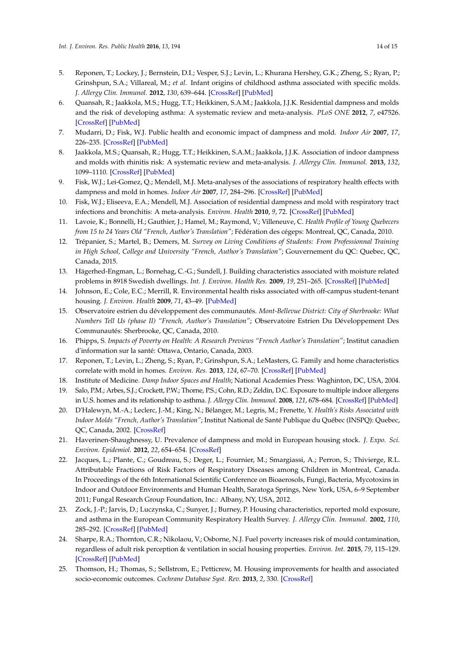- <span id="page-13-0"></span>5. Reponen, T.; Lockey, J.; Bernstein, D.I.; Vesper, S.J.; Levin, L.; Khurana Hershey, G.K.; Zheng, S.; Ryan, P.; Grinshpun, S.A.; Villareal, M.; *et al*. Infant origins of childhood asthma associated with specific molds. *J. Allergy Clin. Immunol.* **2012**, *130*, 639–644. [\[CrossRef\]](http://dx.doi.org/10.1016/j.jaci.2012.05.030) [\[PubMed\]](http://www.ncbi.nlm.nih.gov/pubmed/22789397)
- <span id="page-13-5"></span>6. Quansah, R.; Jaakkola, M.S.; Hugg, T.T.; Heikkinen, S.A.M.; Jaakkola, J.J.K. Residential dampness and molds and the risk of developing asthma: A systematic review and meta-analysis. *PLoS ONE* **2012**, *7*, e47526. [\[CrossRef\]](http://dx.doi.org/10.1371/journal.pone.0047526) [\[PubMed\]](http://www.ncbi.nlm.nih.gov/pubmed/23144822)
- <span id="page-13-1"></span>7. Mudarri, D.; Fisk, W.J. Public health and economic impact of dampness and mold. *Indoor Air* **2007**, *17*, 226–235. [\[CrossRef\]](http://dx.doi.org/10.1111/j.1600-0668.2007.00474.x) [\[PubMed\]](http://www.ncbi.nlm.nih.gov/pubmed/17542835)
- <span id="page-13-2"></span>8. Jaakkola, M.S.; Quansah, R.; Hugg, T.T.; Heikkinen, S.A.M.; Jaakkola, J.J.K. Association of indoor dampness and molds with rhinitis risk: A systematic review and meta-analysis. *J. Allergy Clin. Immunol.* **2013**, *132*, 1099–1110. [\[CrossRef\]](http://dx.doi.org/10.1016/j.jaci.2013.07.028) [\[PubMed\]](http://www.ncbi.nlm.nih.gov/pubmed/24028857)
- <span id="page-13-3"></span>9. Fisk, W.J.; Lei-Gomez, Q.; Mendell, M.J. Meta-analyses of the associations of respiratory health effects with dampness and mold in homes. *Indoor Air* **2007**, *17*, 284–296. [\[CrossRef\]](http://dx.doi.org/10.1111/j.1600-0668.2007.00475.x) [\[PubMed\]](http://www.ncbi.nlm.nih.gov/pubmed/17661925)
- <span id="page-13-4"></span>10. Fisk, W.J.; Eliseeva, E.A.; Mendell, M.J. Association of residential dampness and mold with respiratory tract infections and bronchitis: A meta-analysis. *Environ. Health* **2010**, *9*, 72. [\[CrossRef\]](http://dx.doi.org/10.1186/1476-069X-9-72) [\[PubMed\]](http://www.ncbi.nlm.nih.gov/pubmed/21078183)
- <span id="page-13-6"></span>11. Lavoie, K.; Bonnelli, H.; Gauthier, J.; Hamel, M.; Raymond, V.; Villeneuve, C. *Health Profile of Young Quebecers from 15 to 24 Years Old "French, Author's Translation"*; Fédération des cégeps: Montreal, QC, Canada, 2010.
- <span id="page-13-7"></span>12. Trépanier, S.; Martel, B.; Demers, M. *Survey on Living Conditions of Students: From Professionnal Training in High School, College and University "French, Author's Translation"*; Gouvernement du QC: Quebec, QC, Canada, 2015.
- <span id="page-13-8"></span>13. Hägerhed-Engman, L.; Bornehag, C.-G.; Sundell, J. Building characteristics associated with moisture related problems in 8918 Swedish dwellings. *Int. J. Environ. Health Res.* **2009**, *19*, 251–265. [\[CrossRef\]](http://dx.doi.org/10.1080/09603120802527653) [\[PubMed\]](http://www.ncbi.nlm.nih.gov/pubmed/19557598)
- <span id="page-13-20"></span>14. Johnson, E.; Cole, E.C.; Merrill, R. Environmental health risks associated with off-campus student-tenant housing. *J. Environ. Health* **2009**, *71*, 43–49. [\[PubMed\]](http://www.ncbi.nlm.nih.gov/pubmed/19192743)
- <span id="page-13-9"></span>15. Observatoire estrien du développement des communautés. *Mont-Bellevue District: City of Sherbrooke: What Numbers Tell Us (phase II) "French, Author's Translation"*; Observatoire Estrien Du Développement Des Communautés: Sherbrooke, QC, Canada, 2010.
- <span id="page-13-10"></span>16. Phipps, S. *Impacts of Poverty on Health: A Research Previews "French Author's Translation"*; Institut canadien d'information sur la santé: Ottawa, Ontario, Canada, 2003.
- <span id="page-13-11"></span>17. Reponen, T.; Levin, L.; Zheng, S.; Ryan, P.; Grinshpun, S.A.; LeMasters, G. Family and home characteristics correlate with mold in homes. *Environ. Res.* **2013**, *124*, 67–70. [\[CrossRef\]](http://dx.doi.org/10.1016/j.envres.2013.04.003) [\[PubMed\]](http://www.ncbi.nlm.nih.gov/pubmed/23683889)
- <span id="page-13-12"></span>18. Institute of Medicine. *Damp Indoor Spaces and Health*; National Academies Press: Waghinton, DC, USA, 2004.
- <span id="page-13-13"></span>19. Salo, P.M.; Arbes, S.J.; Crockett, P.W.; Thorne, P.S.; Cohn, R.D.; Zeldin, D.C. Exposure to multiple indoor allergens in U.S. homes and its relationship to asthma. *J. Allergy Clin. Immunol.* **2008**, *121*, 678–684. [\[CrossRef\]](http://dx.doi.org/10.1016/j.jaci.2007.12.1164) [\[PubMed\]](http://www.ncbi.nlm.nih.gov/pubmed/18255132)
- <span id="page-13-14"></span>20. D'Halewyn, M.-A.; Leclerc, J.-M.; King, N.; Bélanger, M.; Legris, M.; Frenette, Y. *Health's Risks Associated with Indoor Molds "French, Author's Translation"*; Institut National de Santé Publique du Québec (INSPQ): Quebec, QC, Canada, 2002. [\[CrossRef\]](http://dx.doi.org/10.1029/2006JD007277.BLOND)
- <span id="page-13-15"></span>21. Haverinen-Shaughnessy, U. Prevalence of dampness and mold in European housing stock. *J. Expo. Sci. Environ. Epidemiol.* **2012**, *22*, 654–654. [\[CrossRef\]](http://dx.doi.org/10.1038/jes.2012.92)
- <span id="page-13-16"></span>22. Jacques, L.; Plante, C.; Goudreau, S.; Deger, L.; Fournier, M.; Smargiassi, A.; Perron, S.; Thivierge, R.L. Attributable Fractions of Risk Factors of Respiratory Diseases among Children in Montreal, Canada. In Proceedings of the 6th International Scientific Conference on Bioaerosols, Fungi, Bacteria, Mycotoxins in Indoor and Outdoor Environments and Human Health, Saratoga Springs, New York, USA, 6–9 September 2011; Fungal Research Group Foundation, Inc.: Albany, NY, USA, 2012.
- <span id="page-13-17"></span>23. Zock, J.-P.; Jarvis, D.; Luczynska, C.; Sunyer, J.; Burney, P. Housing characteristics, reported mold exposure, and asthma in the European Community Respiratory Health Survey. *J. Allergy Clin. Immunol.* **2002**, *110*, 285–292. [\[CrossRef\]](http://dx.doi.org/10.1067/mai.2002.126383) [\[PubMed\]](http://www.ncbi.nlm.nih.gov/pubmed/12170270)
- <span id="page-13-18"></span>24. Sharpe, R.A.; Thornton, C.R.; Nikolaou, V.; Osborne, N.J. Fuel poverty increases risk of mould contamination, regardless of adult risk perception & ventilation in social housing properties. *Environ. Int.* **2015**, *79*, 115–129. [\[CrossRef\]](http://dx.doi.org/10.1016/j.envint.2015.03.009) [\[PubMed\]](http://www.ncbi.nlm.nih.gov/pubmed/25829024)
- <span id="page-13-19"></span>25. Thomson, H.; Thomas, S.; Sellstrom, E.; Petticrew, M. Housing improvements for health and associated socio-economic outcomes. *Cochrane Database Syst. Rev.* **2013**, *2*, 330. [\[CrossRef\]](http://dx.doi.org/10.1002/14651858.CD008657.pub2)